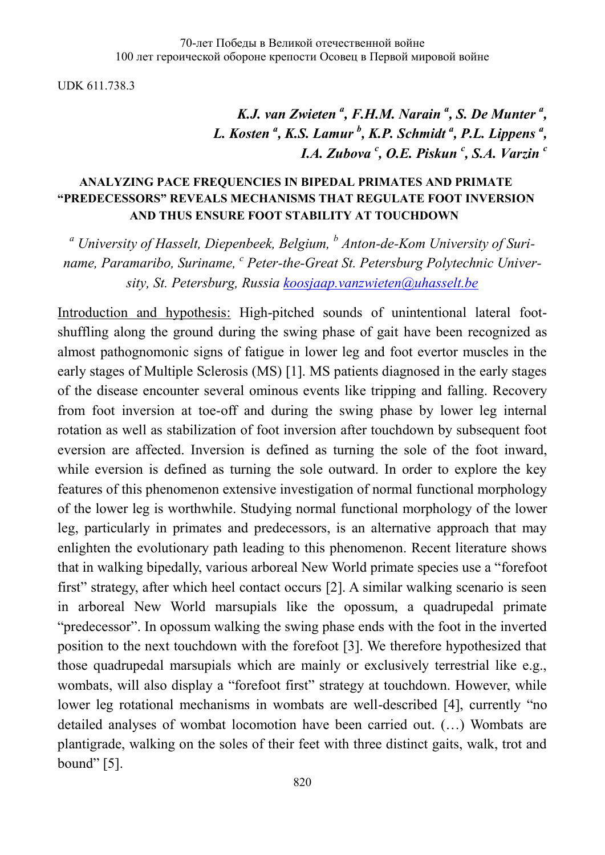UDK 611.738.3

*K.J. van Zwieten*<sup>*a*</sup>, *F.H.M. Narain*<sup>*a*</sup>, *S. De Munter*<sup>*a*</sup>, *L. Kosten <sup>a</sup> , K.S. Lamur <sup>b</sup> , K.P. Schmidt <sup>a</sup> , P.L. Lippens <sup>a</sup> , I.A. Zubova <sup>c</sup> , O.E. Piskun <sup>c</sup> , S.A. Varzin <sup>c</sup>*

## **ANALYZING PACE FREQUENCIES IN BIPEDAL PRIMATES AND PRIMATE "PREDECESSORS" REVEALS MECHANISMS THAT REGULATE FOOT INVERSION AND THUS ENSURE FOOT STABILITY AT TOUCHDOWN**

*<sup>a</sup> University of Hasselt, Diepenbeek, Belgium, <sup>b</sup> Anton-de-Kom University of Suriname, Paramaribo, Suriname, <sup>c</sup> Peter-the-Great St. Petersburg Polytechnic University, St. Petersburg, Russia [koosjaap.vanzwieten@uhasselt.be](mailto:koosjaap.vanzwieten@uhasselt.be)*

Introduction and hypothesis: High-pitched sounds of unintentional lateral footshuffling along the ground during the swing phase of gait have been recognized as almost pathognomonic signs of fatigue in lower leg and foot evertor muscles in the early stages of Multiple Sclerosis (MS) [1]. MS patients diagnosed in the early stages of the disease encounter several ominous events like tripping and falling. Recovery from foot inversion at toe-off and during the swing phase by lower leg internal rotation as well as stabilization of foot inversion after touchdown by subsequent foot eversion are affected. Inversion is defined as turning the sole of the foot inward, while eversion is defined as turning the sole outward. In order to explore the key features of this phenomenon extensive investigation of normal functional morphology of the lower leg is worthwhile. Studying normal functional morphology of the lower leg, particularly in primates and predecessors, is an alternative approach that may enlighten the evolutionary path leading to this phenomenon. Recent literature shows that in walking bipedally, various arboreal New World primate species use a "forefoot first" strategy, after which heel contact occurs [2]. A similar walking scenario is seen in arboreal New World marsupials like the opossum, a quadrupedal primate "predecessor". In opossum walking the swing phase ends with the foot in the inverted position to the next touchdown with the forefoot [3]. We therefore hypothesized that those quadrupedal marsupials which are mainly or exclusively terrestrial like e.g., wombats, will also display a "forefoot first" strategy at touchdown. However, while lower leg rotational mechanisms in wombats are well-described [4], currently "no detailed analyses of wombat locomotion have been carried out. (…) Wombats are plantigrade, walking on the soles of their feet with three distinct gaits, walk, trot and bound" [5].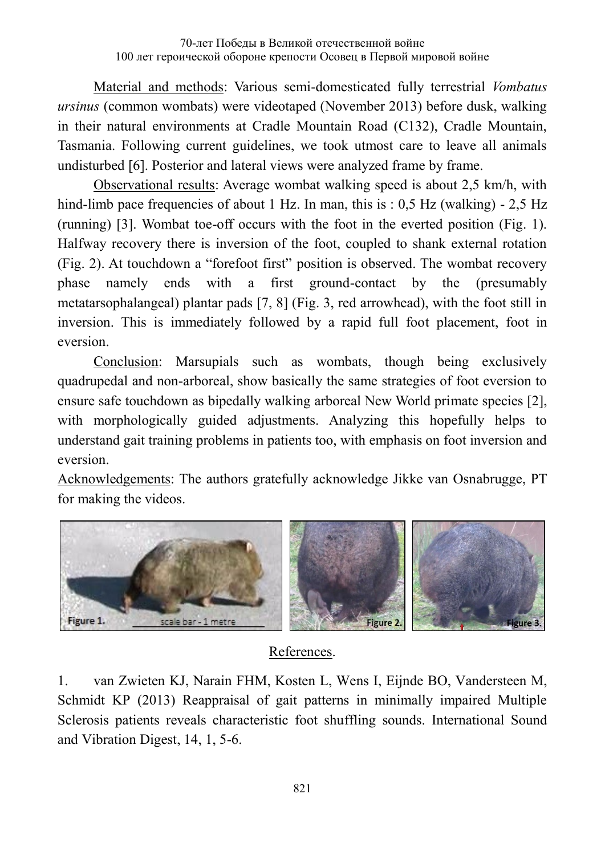Material and methods: Various semi-domesticated fully terrestrial *Vombatus ursinus* (common wombats) were videotaped (November 2013) before dusk, walking in their natural environments at Cradle Mountain Road (C132), Cradle Mountain, Tasmania. Following current guidelines, we took utmost care to leave all animals undisturbed [6]. Posterior and lateral views were analyzed frame by frame.

Observational results: Average wombat walking speed is about 2,5 km/h, with hind-limb pace frequencies of about 1 Hz. In man, this is : 0,5 Hz (walking) - 2,5 Hz (running) [3]. Wombat toe-off occurs with the foot in the everted position (Fig. 1). Halfway recovery there is inversion of the foot, coupled to shank external rotation (Fig. 2). At touchdown a "forefoot first" position is observed. The wombat recovery phase namely ends with a first ground-contact by the (presumably metatarsophalangeal) plantar pads [7, 8] (Fig. 3, red arrowhead), with the foot still in inversion. This is immediately followed by a rapid full foot placement, foot in eversion.

Conclusion: Marsupials such as wombats, though being exclusively quadrupedal and non-arboreal, show basically the same strategies of foot eversion to ensure safe touchdown as bipedally walking arboreal New World primate species [2], with morphologically guided adjustments. Analyzing this hopefully helps to understand gait training problems in patients too, with emphasis on foot inversion and eversion.

Acknowledgements: The authors gratefully acknowledge Jikke van Osnabrugge, PT for making the videos.



## References.

1. van Zwieten KJ, Narain FHM, Kosten L, Wens I, Eijnde BO, Vandersteen M, Schmidt KP (2013) Reappraisal of gait patterns in minimally impaired Multiple Sclerosis patients reveals characteristic foot shuffling sounds. International Sound and Vibration Digest, 14, 1, 5-6.